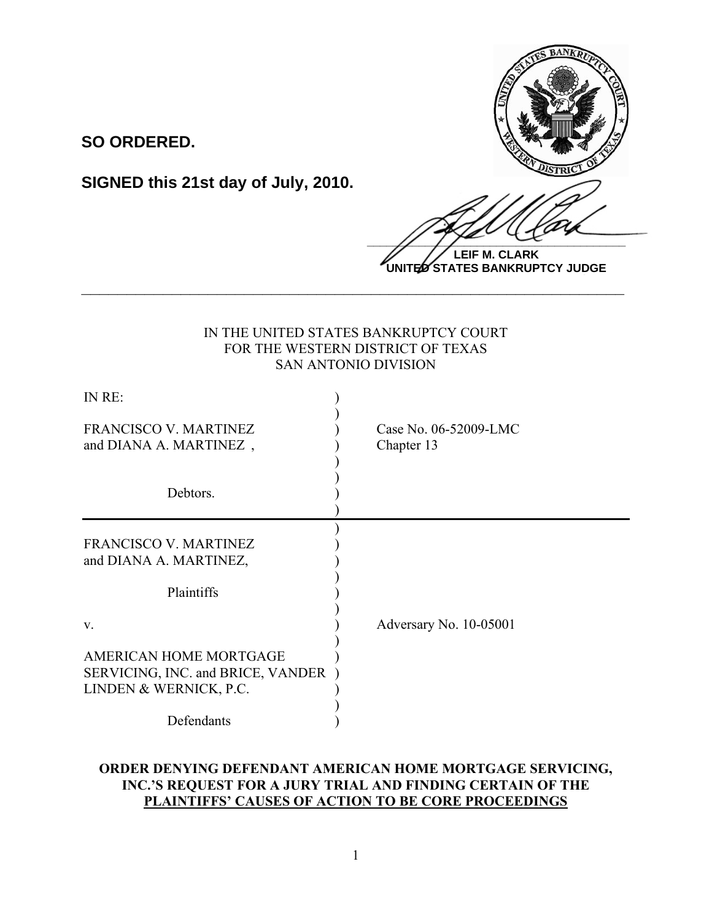

**LEIF M. CLARK UNITED STATES BANKRUPTCY JUDGE**

# IN THE UNITED STATES BANKRUPTCY COURT FOR THE WESTERN DISTRICT OF TEXAS SAN ANTONIO DIVISION

**\_\_\_\_\_\_\_\_\_\_\_\_\_\_\_\_\_\_\_\_\_\_\_\_\_\_\_\_\_\_\_\_\_\_\_\_\_\_\_\_\_\_\_\_\_\_\_\_\_\_\_\_\_\_\_\_\_\_\_\_**

**SO ORDERED.**

**SIGNED this 21st day of July, 2010.**

| IN RE:                                                                                |                                     |
|---------------------------------------------------------------------------------------|-------------------------------------|
| <b>FRANCISCO V. MARTINEZ</b><br>and DIANA A. MARTINEZ,                                | Case No. 06-52009-LMC<br>Chapter 13 |
| Debtors.                                                                              |                                     |
| <b>FRANCISCO V. MARTINEZ</b><br>and DIANA A. MARTINEZ,                                |                                     |
| Plaintiffs                                                                            |                                     |
| V.                                                                                    | Adversary No. 10-05001              |
| AMERICAN HOME MORTGAGE<br>SERVICING, INC. and BRICE, VANDER<br>LINDEN & WERNICK, P.C. |                                     |
| Defendants                                                                            |                                     |

# **ORDER DENYING DEFENDANT AMERICAN HOME MORTGAGE SERVICING, INC.'S REQUEST FOR A JURY TRIAL AND FINDING CERTAIN OF THE PLAINTIFFS' CAUSES OF ACTION TO BE CORE PROCEEDINGS**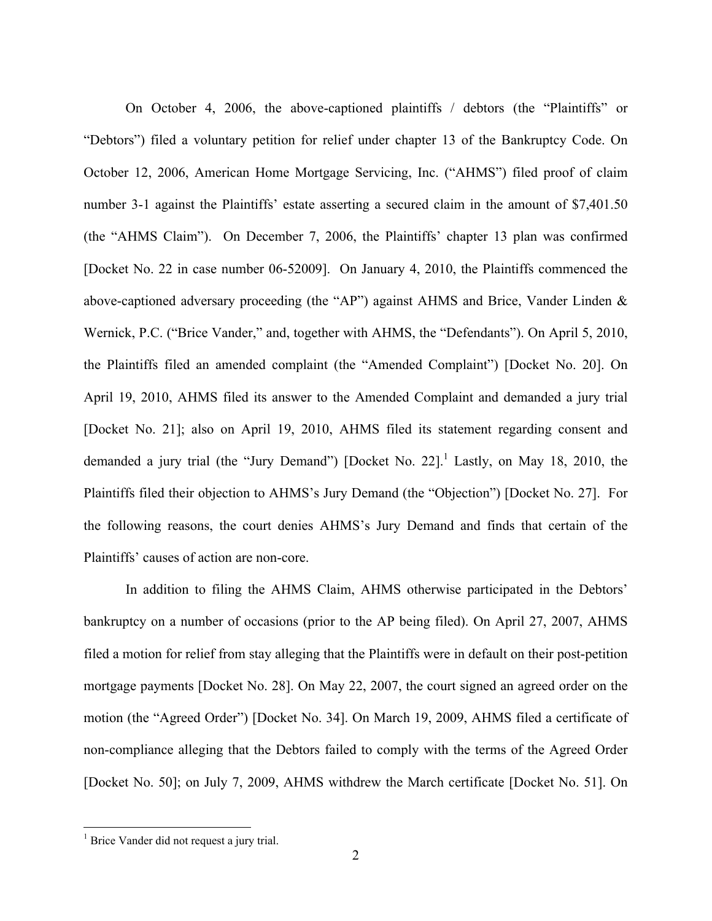On October 4, 2006, the above-captioned plaintiffs / debtors (the "Plaintiffs" or "Debtors") filed a voluntary petition for relief under chapter 13 of the Bankruptcy Code. On October 12, 2006, American Home Mortgage Servicing, Inc. ("AHMS") filed proof of claim number 3-1 against the Plaintiffs' estate asserting a secured claim in the amount of \$7,401.50 (the "AHMS Claim"). On December 7, 2006, the Plaintiffs' chapter 13 plan was confirmed [Docket No. 22 in case number 06-52009]. On January 4, 2010, the Plaintiffs commenced the above-captioned adversary proceeding (the "AP") against AHMS and Brice, Vander Linden & Wernick, P.C. ("Brice Vander," and, together with AHMS, the "Defendants"). On April 5, 2010, the Plaintiffs filed an amended complaint (the "Amended Complaint") [Docket No. 20]. On April 19, 2010, AHMS filed its answer to the Amended Complaint and demanded a jury trial [Docket No. 21]; also on April 19, 2010, AHMS filed its statement regarding consent and demanded a jury trial (the "Jury Demand") [Docket No. 22].<sup>1</sup> Lastly, on May 18, 2010, the Plaintiffs filed their objection to AHMS's Jury Demand (the "Objection") [Docket No. 27]. For the following reasons, the court denies AHMS's Jury Demand and finds that certain of the Plaintiffs' causes of action are non-core.

In addition to filing the AHMS Claim, AHMS otherwise participated in the Debtors' bankruptcy on a number of occasions (prior to the AP being filed). On April 27, 2007, AHMS filed a motion for relief from stay alleging that the Plaintiffs were in default on their post-petition mortgage payments [Docket No. 28]. On May 22, 2007, the court signed an agreed order on the motion (the "Agreed Order") [Docket No. 34]. On March 19, 2009, AHMS filed a certificate of non-compliance alleging that the Debtors failed to comply with the terms of the Agreed Order [Docket No. 50]; on July 7, 2009, AHMS withdrew the March certificate [Docket No. 51]. On

 $\frac{1}{1}$  $<sup>1</sup>$  Brice Vander did not request a jury trial.</sup>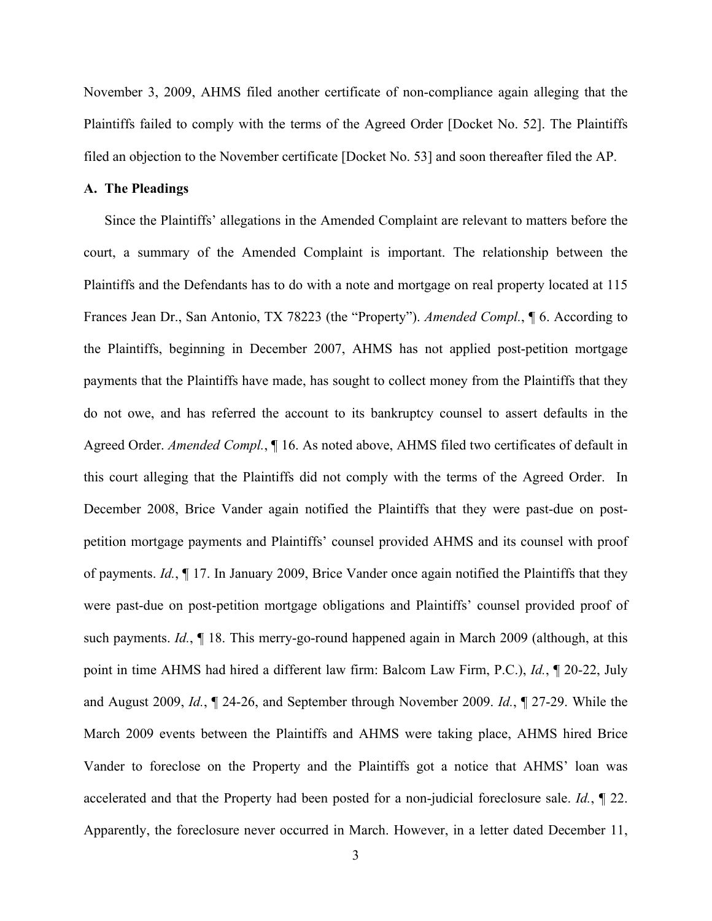November 3, 2009, AHMS filed another certificate of non-compliance again alleging that the Plaintiffs failed to comply with the terms of the Agreed Order [Docket No. 52]. The Plaintiffs filed an objection to the November certificate [Docket No. 53] and soon thereafter filed the AP.

### **A. The Pleadings**

Since the Plaintiffs' allegations in the Amended Complaint are relevant to matters before the court, a summary of the Amended Complaint is important. The relationship between the Plaintiffs and the Defendants has to do with a note and mortgage on real property located at 115 Frances Jean Dr., San Antonio, TX 78223 (the "Property"). *Amended Compl.*, ¶ 6. According to the Plaintiffs, beginning in December 2007, AHMS has not applied post-petition mortgage payments that the Plaintiffs have made, has sought to collect money from the Plaintiffs that they do not owe, and has referred the account to its bankruptcy counsel to assert defaults in the Agreed Order. *Amended Compl.*, ¶ 16. As noted above, AHMS filed two certificates of default in this court alleging that the Plaintiffs did not comply with the terms of the Agreed Order. In December 2008, Brice Vander again notified the Plaintiffs that they were past-due on postpetition mortgage payments and Plaintiffs' counsel provided AHMS and its counsel with proof of payments. *Id.*, ¶ 17. In January 2009, Brice Vander once again notified the Plaintiffs that they were past-due on post-petition mortgage obligations and Plaintiffs' counsel provided proof of such payments. *Id.*, ¶ 18. This merry-go-round happened again in March 2009 (although, at this point in time AHMS had hired a different law firm: Balcom Law Firm, P.C.), *Id.*, ¶ 20-22, July and August 2009, *Id.*, ¶ 24-26, and September through November 2009. *Id.*, ¶ 27-29. While the March 2009 events between the Plaintiffs and AHMS were taking place, AHMS hired Brice Vander to foreclose on the Property and the Plaintiffs got a notice that AHMS' loan was accelerated and that the Property had been posted for a non-judicial foreclosure sale. *Id.*, ¶ 22. Apparently, the foreclosure never occurred in March. However, in a letter dated December 11,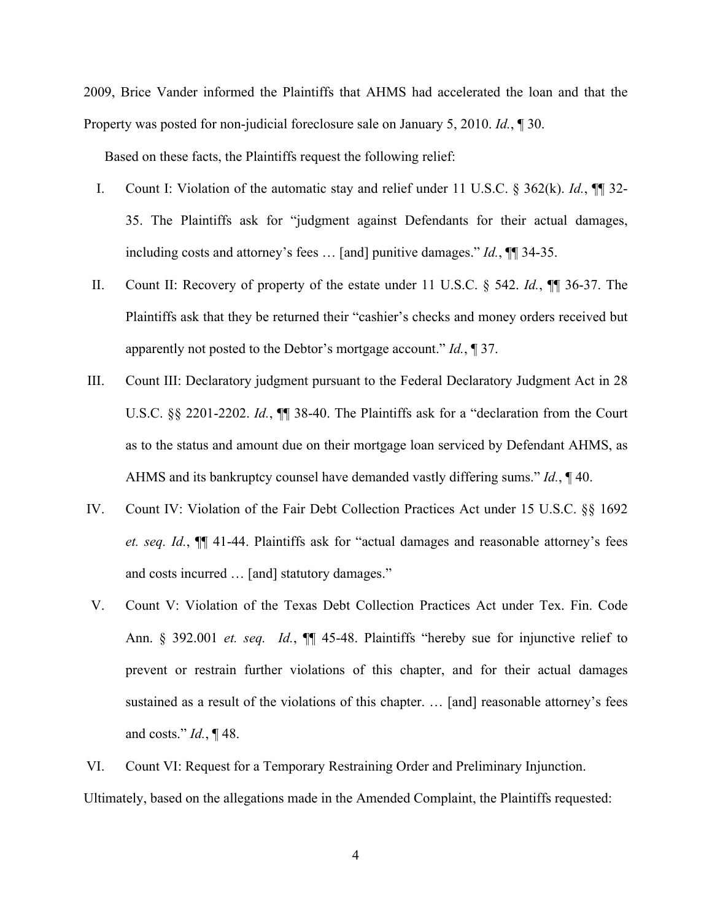2009, Brice Vander informed the Plaintiffs that AHMS had accelerated the loan and that the Property was posted for non-judicial foreclosure sale on January 5, 2010. *Id.*, ¶ 30.

Based on these facts, the Plaintiffs request the following relief:

- I. Count I: Violation of the automatic stay and relief under 11 U.S.C. § 362(k). *Id.*, ¶¶ 32- 35. The Plaintiffs ask for "judgment against Defendants for their actual damages, including costs and attorney's fees … [and] punitive damages." *Id.*, ¶¶ 34-35.
- II. Count II: Recovery of property of the estate under 11 U.S.C. § 542. *Id.*, ¶¶ 36-37. The Plaintiffs ask that they be returned their "cashier's checks and money orders received but apparently not posted to the Debtor's mortgage account." *Id.*, ¶ 37.
- III. Count III: Declaratory judgment pursuant to the Federal Declaratory Judgment Act in 28 U.S.C. §§ 2201-2202. *Id.*, ¶¶ 38-40. The Plaintiffs ask for a "declaration from the Court as to the status and amount due on their mortgage loan serviced by Defendant AHMS, as AHMS and its bankruptcy counsel have demanded vastly differing sums." *Id.*, ¶ 40.
- IV. Count IV: Violation of the Fair Debt Collection Practices Act under 15 U.S.C. §§ 1692 *et. seq. Id.*, ¶¶ 41-44. Plaintiffs ask for "actual damages and reasonable attorney's fees and costs incurred … [and] statutory damages."
- V. Count V: Violation of the Texas Debt Collection Practices Act under Tex. Fin. Code Ann. § 392.001 *et. seq. Id.*, ¶¶ 45-48. Plaintiffs "hereby sue for injunctive relief to prevent or restrain further violations of this chapter, and for their actual damages sustained as a result of the violations of this chapter. … [and] reasonable attorney's fees and costs." *Id.*, ¶ 48.

VI. Count VI: Request for a Temporary Restraining Order and Preliminary Injunction. Ultimately, based on the allegations made in the Amended Complaint, the Plaintiffs requested: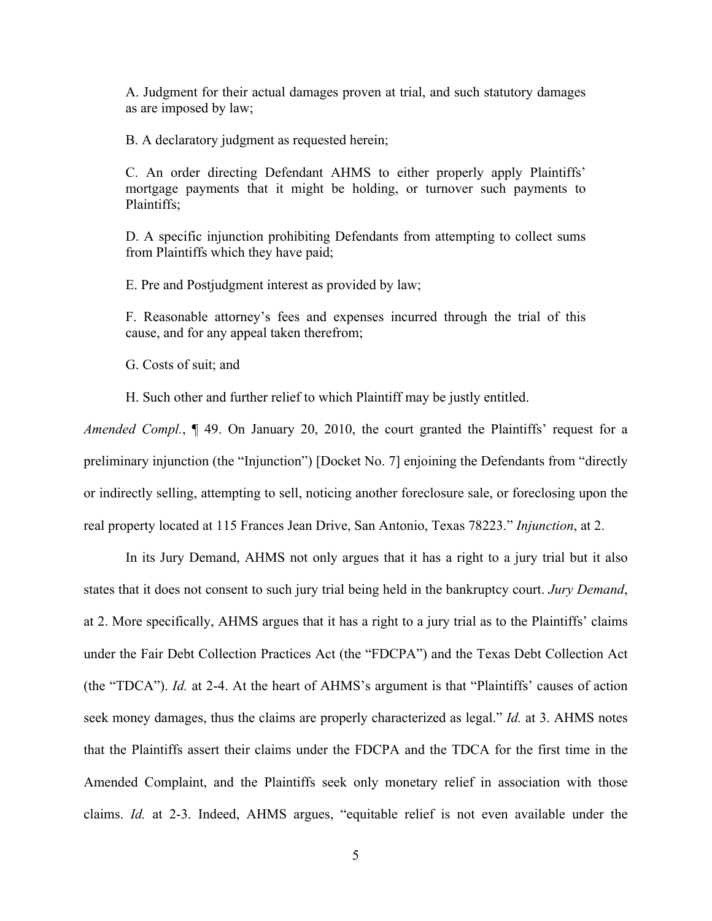A. Judgment for their actual damages proven at trial, and such statutory damages as are imposed by law;

B. A declaratory judgment as requested herein;

C. An order directing Defendant AHMS to either properly apply Plaintiffs' mortgage payments that it might be holding, or turnover such payments to Plaintiffs;

D. A specific injunction prohibiting Defendants from attempting to collect sums from Plaintiffs which they have paid;

E. Pre and Postjudgment interest as provided by law;

F. Reasonable attorney's fees and expenses incurred through the trial of this cause, and for any appeal taken therefrom;

G. Costs of suit; and

H. Such other and further relief to which Plaintiff may be justly entitled.

*Amended Compl.*, ¶ 49. On January 20, 2010, the court granted the Plaintiffs' request for a preliminary injunction (the "Injunction") [Docket No. 7] enjoining the Defendants from "directly or indirectly selling, attempting to sell, noticing another foreclosure sale, or foreclosing upon the real property located at 115 Frances Jean Drive, San Antonio, Texas 78223." *Injunction*, at 2.

In its Jury Demand, AHMS not only argues that it has a right to a jury trial but it also states that it does not consent to such jury trial being held in the bankruptcy court. *Jury Demand*, at 2. More specifically, AHMS argues that it has a right to a jury trial as to the Plaintiffs' claims under the Fair Debt Collection Practices Act (the "FDCPA") and the Texas Debt Collection Act (the "TDCA"). *Id.* at 2-4. At the heart of AHMS's argument is that "Plaintiffs' causes of action seek money damages, thus the claims are properly characterized as legal." *Id.* at 3. AHMS notes that the Plaintiffs assert their claims under the FDCPA and the TDCA for the first time in the Amended Complaint, and the Plaintiffs seek only monetary relief in association with those claims. *Id.* at 2-3. Indeed, AHMS argues, "equitable relief is not even available under the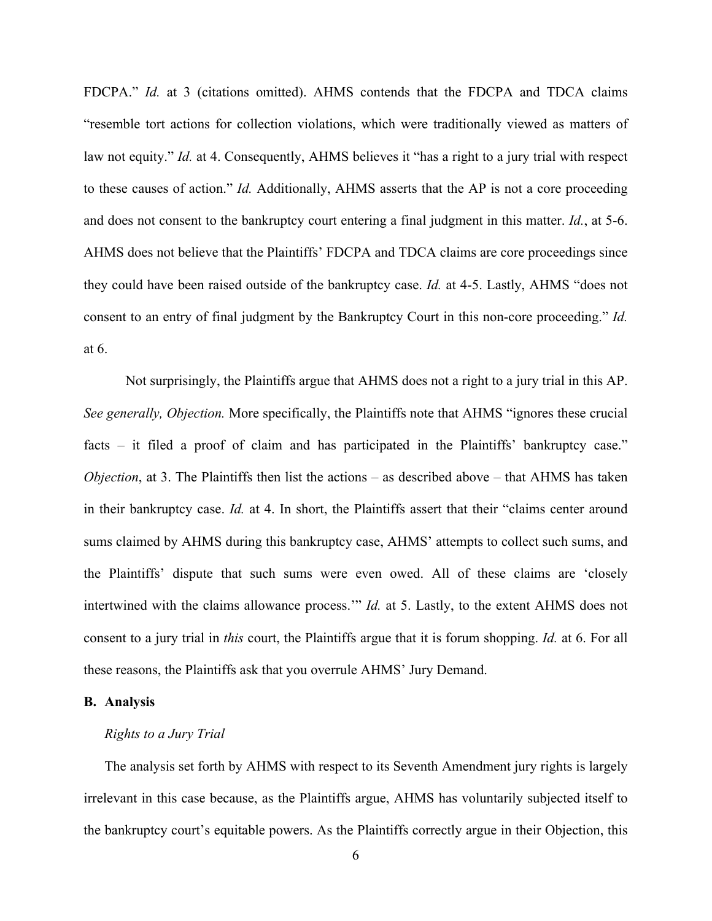FDCPA." *Id.* at 3 (citations omitted). AHMS contends that the FDCPA and TDCA claims "resemble tort actions for collection violations, which were traditionally viewed as matters of law not equity." *Id.* at 4. Consequently, AHMS believes it "has a right to a jury trial with respect to these causes of action." *Id.* Additionally, AHMS asserts that the AP is not a core proceeding and does not consent to the bankruptcy court entering a final judgment in this matter. *Id.*, at 5-6. AHMS does not believe that the Plaintiffs' FDCPA and TDCA claims are core proceedings since they could have been raised outside of the bankruptcy case. *Id.* at 4-5. Lastly, AHMS "does not consent to an entry of final judgment by the Bankruptcy Court in this non-core proceeding." *Id.* at 6.

Not surprisingly, the Plaintiffs argue that AHMS does not a right to a jury trial in this AP. *See generally, Objection.* More specifically, the Plaintiffs note that AHMS "ignores these crucial facts – it filed a proof of claim and has participated in the Plaintiffs' bankruptcy case." *Objection*, at 3. The Plaintiffs then list the actions – as described above – that AHMS has taken in their bankruptcy case. *Id.* at 4. In short, the Plaintiffs assert that their "claims center around sums claimed by AHMS during this bankruptcy case, AHMS' attempts to collect such sums, and the Plaintiffs' dispute that such sums were even owed. All of these claims are 'closely intertwined with the claims allowance process.'" *Id.* at 5. Lastly, to the extent AHMS does not consent to a jury trial in *this* court, the Plaintiffs argue that it is forum shopping. *Id.* at 6. For all these reasons, the Plaintiffs ask that you overrule AHMS' Jury Demand.

## **B. Analysis**

#### *Rights to a Jury Trial*

The analysis set forth by AHMS with respect to its Seventh Amendment jury rights is largely irrelevant in this case because, as the Plaintiffs argue, AHMS has voluntarily subjected itself to the bankruptcy court's equitable powers. As the Plaintiffs correctly argue in their Objection, this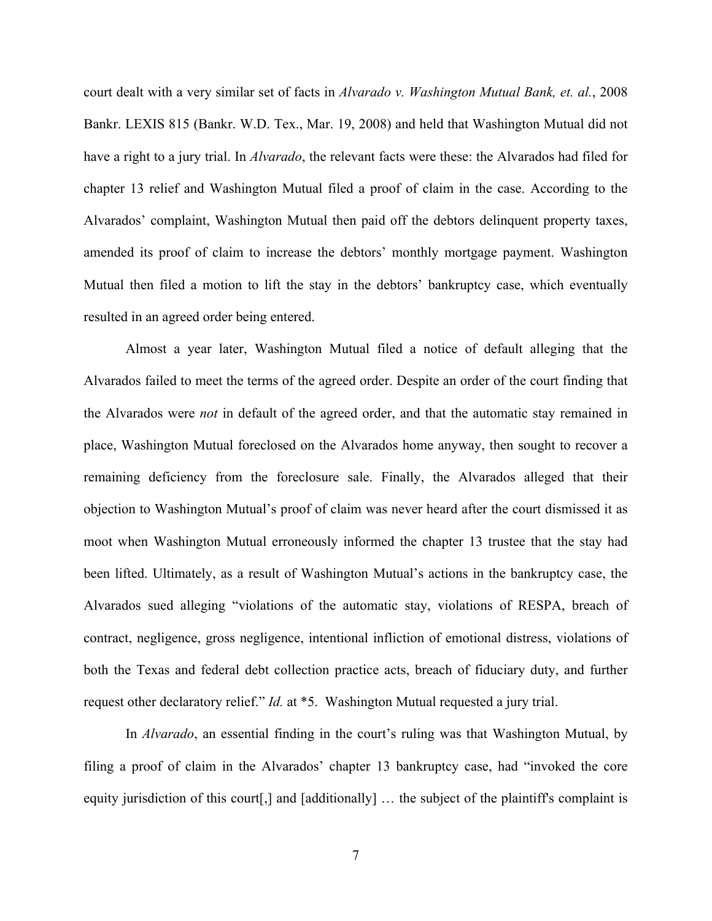court dealt with a very similar set of facts in *Alvarado v. Washington Mutual Bank, et. al.*, 2008 Bankr. LEXIS 815 (Bankr. W.D. Tex., Mar. 19, 2008) and held that Washington Mutual did not have a right to a jury trial. In *Alvarado*, the relevant facts were these: the Alvarados had filed for chapter 13 relief and Washington Mutual filed a proof of claim in the case. According to the Alvarados' complaint, Washington Mutual then paid off the debtors delinquent property taxes, amended its proof of claim to increase the debtors' monthly mortgage payment. Washington Mutual then filed a motion to lift the stay in the debtors' bankruptcy case, which eventually resulted in an agreed order being entered.

Almost a year later, Washington Mutual filed a notice of default alleging that the Alvarados failed to meet the terms of the agreed order. Despite an order of the court finding that the Alvarados were *not* in default of the agreed order, and that the automatic stay remained in place, Washington Mutual foreclosed on the Alvarados home anyway, then sought to recover a remaining deficiency from the foreclosure sale. Finally, the Alvarados alleged that their objection to Washington Mutual's proof of claim was never heard after the court dismissed it as moot when Washington Mutual erroneously informed the chapter 13 trustee that the stay had been lifted. Ultimately, as a result of Washington Mutual's actions in the bankruptcy case, the Alvarados sued alleging "violations of the automatic stay, violations of RESPA, breach of contract, negligence, gross negligence, intentional infliction of emotional distress, violations of both the Texas and federal debt collection practice acts, breach of fiduciary duty, and further request other declaratory relief." *Id.* at \*5. Washington Mutual requested a jury trial.

In *Alvarado*, an essential finding in the court's ruling was that Washington Mutual, by filing a proof of claim in the Alvarados' chapter 13 bankruptcy case, had "invoked the core equity jurisdiction of this court[,] and [additionally] … the subject of the plaintiff's complaint is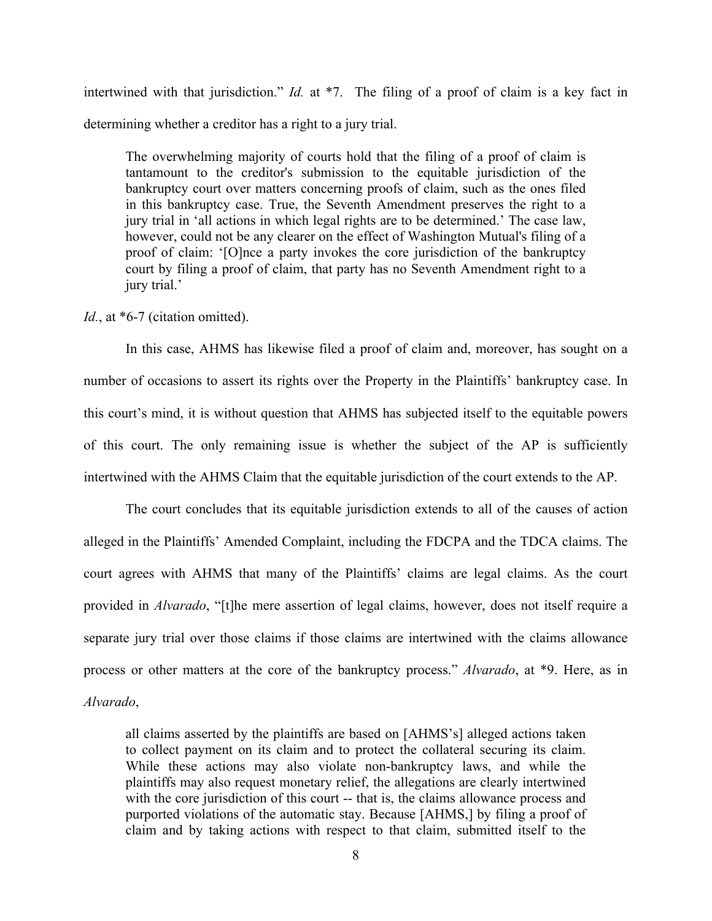intertwined with that jurisdiction." *Id.* at \*7. The filing of a proof of claim is a key fact in determining whether a creditor has a right to a jury trial.

The overwhelming majority of courts hold that the filing of a proof of claim is tantamount to the creditor's submission to the equitable jurisdiction of the bankruptcy court over matters concerning proofs of claim, such as the ones filed in this bankruptcy case. True, the Seventh Amendment preserves the right to a jury trial in 'all actions in which legal rights are to be determined.' The case law, however, could not be any clearer on the effect of Washington Mutual's filing of a proof of claim: '[O]nce a party invokes the core jurisdiction of the bankruptcy court by filing a proof of claim, that party has no Seventh Amendment right to a jury trial.'

#### Id., at \*6-7 (citation omitted).

In this case, AHMS has likewise filed a proof of claim and, moreover, has sought on a number of occasions to assert its rights over the Property in the Plaintiffs' bankruptcy case. In this court's mind, it is without question that AHMS has subjected itself to the equitable powers of this court. The only remaining issue is whether the subject of the AP is sufficiently intertwined with the AHMS Claim that the equitable jurisdiction of the court extends to the AP.

The court concludes that its equitable jurisdiction extends to all of the causes of action alleged in the Plaintiffs' Amended Complaint, including the FDCPA and the TDCA claims. The court agrees with AHMS that many of the Plaintiffs' claims are legal claims. As the court provided in *Alvarado*, "[t]he mere assertion of legal claims, however, does not itself require a separate jury trial over those claims if those claims are intertwined with the claims allowance process or other matters at the core of the bankruptcy process." *Alvarado*, at \*9. Here, as in *Alvarado*,

all claims asserted by the plaintiffs are based on [AHMS's] alleged actions taken to collect payment on its claim and to protect the collateral securing its claim. While these actions may also violate non-bankruptcy laws, and while the plaintiffs may also request monetary relief, the allegations are clearly intertwined with the core jurisdiction of this court -- that is, the claims allowance process and purported violations of the automatic stay. Because [AHMS,] by filing a proof of claim and by taking actions with respect to that claim, submitted itself to the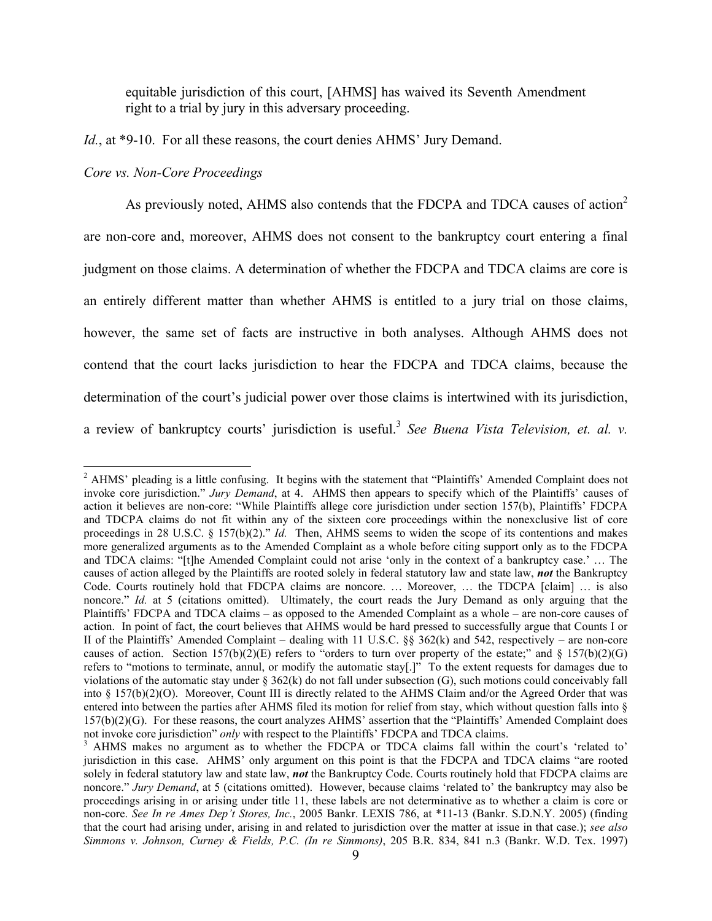equitable jurisdiction of this court, [AHMS] has waived its Seventh Amendment right to a trial by jury in this adversary proceeding.

# *Id.*, at \*9-10. For all these reasons, the court denies AHMS' Jury Demand.

## *Core vs. Non-Core Proceedings*

As previously noted, AHMS also contends that the FDCPA and TDCA causes of action<sup>2</sup> are non-core and, moreover, AHMS does not consent to the bankruptcy court entering a final judgment on those claims. A determination of whether the FDCPA and TDCA claims are core is an entirely different matter than whether AHMS is entitled to a jury trial on those claims, however, the same set of facts are instructive in both analyses. Although AHMS does not contend that the court lacks jurisdiction to hear the FDCPA and TDCA claims, because the determination of the court's judicial power over those claims is intertwined with its jurisdiction, a review of bankruptcy courts' jurisdiction is useful.<sup>3</sup> *See Buena Vista Television, et. al. v.* 

<sup>&</sup>lt;sup>2</sup> AHMS' pleading is a little confusing. It begins with the statement that "Plaintiffs' Amended Complaint does not invoke core jurisdiction." *Jury Demand*, at 4. AHMS then appears to specify which of the Plaintiffs' causes of action it believes are non-core: "While Plaintiffs allege core jurisdiction under section 157(b), Plaintiffs' FDCPA and TDCPA claims do not fit within any of the sixteen core proceedings within the nonexclusive list of core proceedings in 28 U.S.C. § 157(b)(2)." *Id.* Then, AHMS seems to widen the scope of its contentions and makes more generalized arguments as to the Amended Complaint as a whole before citing support only as to the FDCPA and TDCA claims: "[t]he Amended Complaint could not arise 'only in the context of a bankruptcy case.' … The causes of action alleged by the Plaintiffs are rooted solely in federal statutory law and state law, *not* the Bankruptcy Code. Courts routinely hold that FDCPA claims are noncore. … Moreover, … the TDCPA [claim] … is also noncore." *Id.* at 5 (citations omitted). Ultimately, the court reads the Jury Demand as only arguing that the Plaintiffs' FDCPA and TDCA claims – as opposed to the Amended Complaint as a whole – are non-core causes of action. In point of fact, the court believes that AHMS would be hard pressed to successfully argue that Counts I or II of the Plaintiffs' Amended Complaint – dealing with 11 U.S.C.  $\S_{\text{S}}$  362(k) and 542, respectively – are non-core causes of action. Section 157(b)(2)(E) refers to "orders to turn over property of the estate;" and  $\S$  157(b)(2)(G) refers to "motions to terminate, annul, or modify the automatic stay[.]" To the extent requests for damages due to violations of the automatic stay under  $\S 362(k)$  do not fall under subsection (G), such motions could conceivably fall into § 157(b)(2)(O). Moreover, Count III is directly related to the AHMS Claim and/or the Agreed Order that was entered into between the parties after AHMS filed its motion for relief from stay, which without question falls into § 157(b)(2)(G). For these reasons, the court analyzes AHMS' assertion that the "Plaintiffs' Amended Complaint does not invoke core jurisdiction" *only* with respect to the Plaintiffs' FDCPA and TDCA claims.

<sup>&</sup>lt;sup>3</sup> AHMS makes no argument as to whether the FDCPA or TDCA claims fall within the court's 'related to' jurisdiction in this case. AHMS' only argument on this point is that the FDCPA and TDCA claims "are rooted solely in federal statutory law and state law, *not* the Bankruptcy Code. Courts routinely hold that FDCPA claims are noncore." *Jury Demand*, at 5 (citations omitted). However, because claims 'related to' the bankruptcy may also be proceedings arising in or arising under title 11, these labels are not determinative as to whether a claim is core or non-core. *See In re Ames Dep't Stores, Inc.*, 2005 Bankr. LEXIS 786, at \*11-13 (Bankr. S.D.N.Y. 2005) (finding that the court had arising under, arising in and related to jurisdiction over the matter at issue in that case.); *see also Simmons v. Johnson, Curney & Fields, P.C. (In re Simmons)*, 205 B.R. 834, 841 n.3 (Bankr. W.D. Tex. 1997)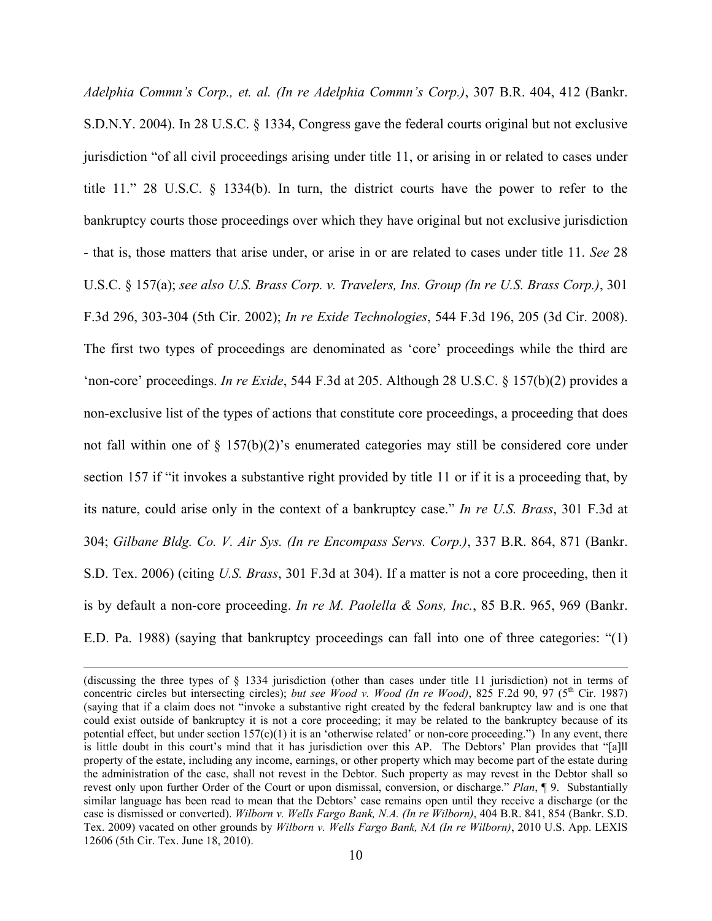*Adelphia Commn's Corp., et. al. (In re Adelphia Commn's Corp.)*, 307 B.R. 404, 412 (Bankr. S.D.N.Y. 2004). In 28 U.S.C. § 1334, Congress gave the federal courts original but not exclusive jurisdiction "of all civil proceedings arising under title 11, or arising in or related to cases under title 11." 28 U.S.C. § 1334(b). In turn, the district courts have the power to refer to the bankruptcy courts those proceedings over which they have original but not exclusive jurisdiction - that is, those matters that arise under, or arise in or are related to cases under title 11. *See* 28 U.S.C. § 157(a); *see also U.S. Brass Corp. v. Travelers, Ins. Group (In re U.S. Brass Corp.)*, 301 F.3d 296, 303-304 (5th Cir. 2002); *In re Exide Technologies*, 544 F.3d 196, 205 (3d Cir. 2008). The first two types of proceedings are denominated as 'core' proceedings while the third are 'non-core' proceedings. *In re Exide*, 544 F.3d at 205. Although 28 U.S.C. § 157(b)(2) provides a non-exclusive list of the types of actions that constitute core proceedings, a proceeding that does not fall within one of  $\S$  157(b)(2)'s enumerated categories may still be considered core under section 157 if "it invokes a substantive right provided by title 11 or if it is a proceeding that, by its nature, could arise only in the context of a bankruptcy case." *In re U.S. Brass*, 301 F.3d at 304; *Gilbane Bldg. Co. V. Air Sys. (In re Encompass Servs. Corp.)*, 337 B.R. 864, 871 (Bankr. S.D. Tex. 2006) (citing *U.S. Brass*, 301 F.3d at 304). If a matter is not a core proceeding, then it is by default a non-core proceeding. *In re M. Paolella & Sons, Inc.*, 85 B.R. 965, 969 (Bankr. E.D. Pa. 1988) (saying that bankruptcy proceedings can fall into one of three categories: "(1)

 $\overline{a}$ 

<sup>(</sup>discussing the three types of § 1334 jurisdiction (other than cases under title 11 jurisdiction) not in terms of concentric circles but intersecting circles); *but see Wood v. Wood (In re Wood)*, 825 F.2d 90, 97 ( $5<sup>th</sup>$  Cir. 1987) (saying that if a claim does not "invoke a substantive right created by the federal bankruptcy law and is one that could exist outside of bankruptcy it is not a core proceeding; it may be related to the bankruptcy because of its potential effect, but under section  $157(c)(1)$  it is an 'otherwise related' or non-core proceeding.") In any event, there is little doubt in this court's mind that it has jurisdiction over this AP. The Debtors' Plan provides that "[a]ll property of the estate, including any income, earnings, or other property which may become part of the estate during the administration of the case, shall not revest in the Debtor. Such property as may revest in the Debtor shall so revest only upon further Order of the Court or upon dismissal, conversion, or discharge." *Plan*, ¶ 9. Substantially similar language has been read to mean that the Debtors' case remains open until they receive a discharge (or the case is dismissed or converted). *Wilborn v. Wells Fargo Bank, N.A. (In re Wilborn)*, 404 B.R. 841, 854 (Bankr. S.D. Tex. 2009) vacated on other grounds by *Wilborn v. Wells Fargo Bank, NA (In re Wilborn)*, 2010 U.S. App. LEXIS 12606 (5th Cir. Tex. June 18, 2010).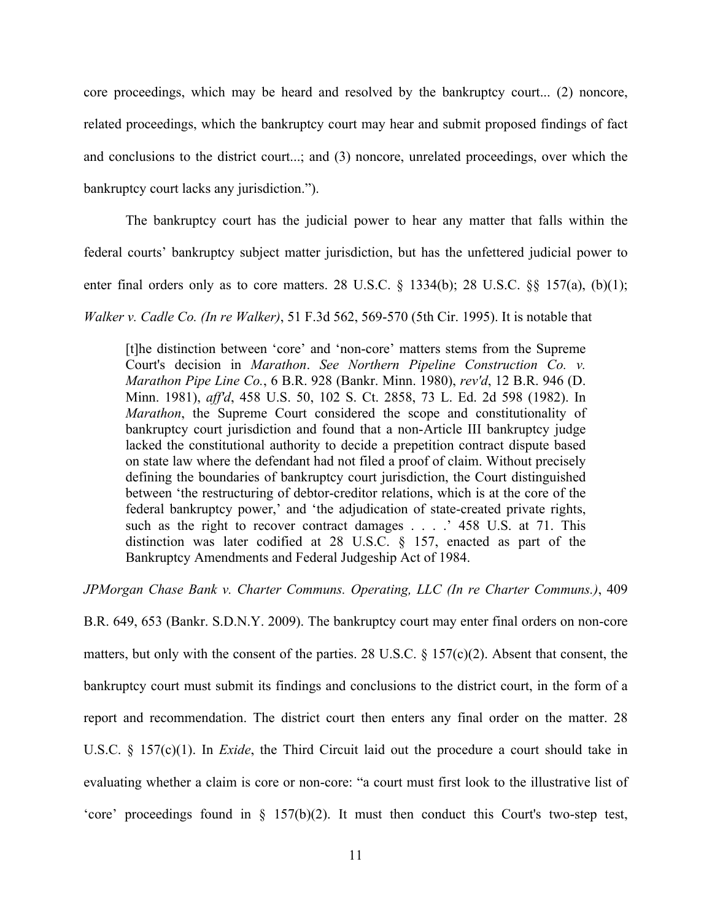core proceedings, which may be heard and resolved by the bankruptcy court... (2) noncore, related proceedings, which the bankruptcy court may hear and submit proposed findings of fact and conclusions to the district court...; and (3) noncore, unrelated proceedings, over which the bankruptcy court lacks any jurisdiction.").

The bankruptcy court has the judicial power to hear any matter that falls within the

federal courts' bankruptcy subject matter jurisdiction, but has the unfettered judicial power to

enter final orders only as to core matters. 28 U.S.C.  $\S$  1334(b); 28 U.S.C.  $\S$  $\S$  157(a), (b)(1);

*Walker v. Cadle Co. (In re Walker)*, 51 F.3d 562, 569-570 (5th Cir. 1995). It is notable that

[t]he distinction between 'core' and 'non-core' matters stems from the Supreme Court's decision in *Marathon*. *See Northern Pipeline Construction Co. v. Marathon Pipe Line Co.*, 6 B.R. 928 (Bankr. Minn. 1980), *rev'd*, 12 B.R. 946 (D. Minn. 1981), *aff'd*, 458 U.S. 50, 102 S. Ct. 2858, 73 L. Ed. 2d 598 (1982). In *Marathon*, the Supreme Court considered the scope and constitutionality of bankruptcy court jurisdiction and found that a non-Article III bankruptcy judge lacked the constitutional authority to decide a prepetition contract dispute based on state law where the defendant had not filed a proof of claim. Without precisely defining the boundaries of bankruptcy court jurisdiction, the Court distinguished between 'the restructuring of debtor-creditor relations, which is at the core of the federal bankruptcy power,' and 'the adjudication of state-created private rights, such as the right to recover contract damages . . . . ' 458 U.S. at 71. This distinction was later codified at 28 U.S.C. § 157, enacted as part of the Bankruptcy Amendments and Federal Judgeship Act of 1984.

*JPMorgan Chase Bank v. Charter Communs. Operating, LLC (In re Charter Communs.)*, 409

B.R. 649, 653 (Bankr. S.D.N.Y. 2009). The bankruptcy court may enter final orders on non-core matters, but only with the consent of the parties. 28 U.S.C. § 157(c)(2). Absent that consent, the bankruptcy court must submit its findings and conclusions to the district court, in the form of a report and recommendation. The district court then enters any final order on the matter. 28 U.S.C. § 157(c)(1). In *Exide*, the Third Circuit laid out the procedure a court should take in evaluating whether a claim is core or non-core: "a court must first look to the illustrative list of 'core' proceedings found in § 157(b)(2). It must then conduct this Court's two-step test,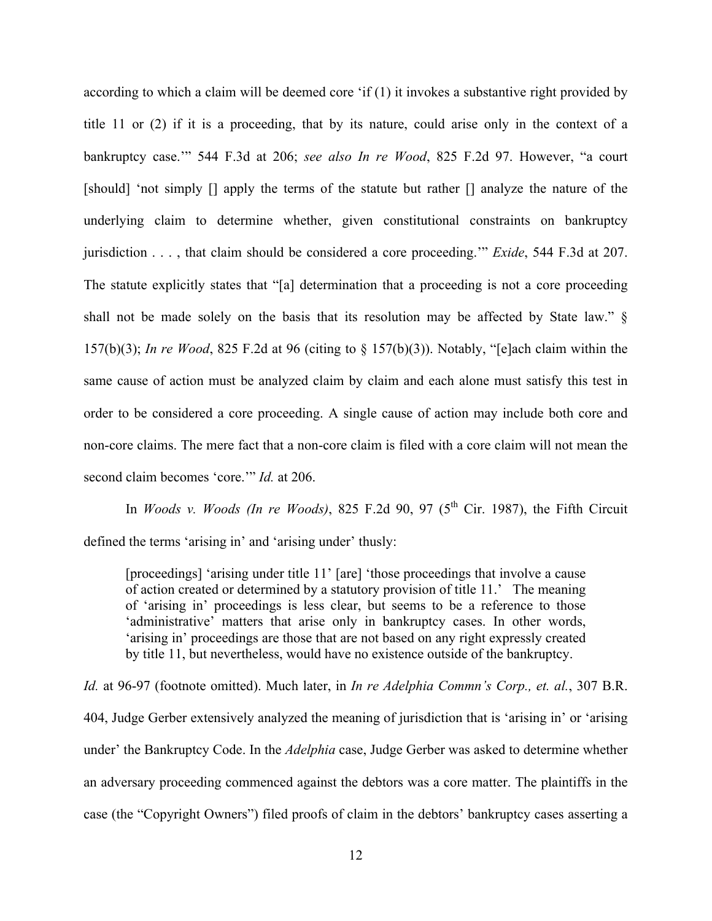according to which a claim will be deemed core 'if (1) it invokes a substantive right provided by title 11 or (2) if it is a proceeding, that by its nature, could arise only in the context of a bankruptcy case.'" 544 F.3d at 206; *see also In re Wood*, 825 F.2d 97. However, "a court [should] 'not simply [] apply the terms of the statute but rather [] analyze the nature of the underlying claim to determine whether, given constitutional constraints on bankruptcy jurisdiction . . . , that claim should be considered a core proceeding.'" *Exide*, 544 F.3d at 207. The statute explicitly states that "[a] determination that a proceeding is not a core proceeding shall not be made solely on the basis that its resolution may be affected by State law." § 157(b)(3); *In re Wood*, 825 F.2d at 96 (citing to § 157(b)(3)). Notably, "[e]ach claim within the same cause of action must be analyzed claim by claim and each alone must satisfy this test in order to be considered a core proceeding. A single cause of action may include both core and non-core claims. The mere fact that a non-core claim is filed with a core claim will not mean the second claim becomes 'core.'" *Id.* at 206.

In *Woods v. Woods (In re Woods)*, 825 F.2d 90, 97 ( $5<sup>th</sup>$  Cir. 1987), the Fifth Circuit defined the terms 'arising in' and 'arising under' thusly:

[proceedings] 'arising under title 11' [are] 'those proceedings that involve a cause of action created or determined by a statutory provision of title 11.' The meaning of 'arising in' proceedings is less clear, but seems to be a reference to those 'administrative' matters that arise only in bankruptcy cases. In other words, 'arising in' proceedings are those that are not based on any right expressly created by title 11, but nevertheless, would have no existence outside of the bankruptcy.

*Id.* at 96-97 (footnote omitted). Much later, in *In re Adelphia Commn's Corp., et. al.*, 307 B.R. 404, Judge Gerber extensively analyzed the meaning of jurisdiction that is 'arising in' or 'arising under' the Bankruptcy Code. In the *Adelphia* case, Judge Gerber was asked to determine whether an adversary proceeding commenced against the debtors was a core matter. The plaintiffs in the case (the "Copyright Owners") filed proofs of claim in the debtors' bankruptcy cases asserting a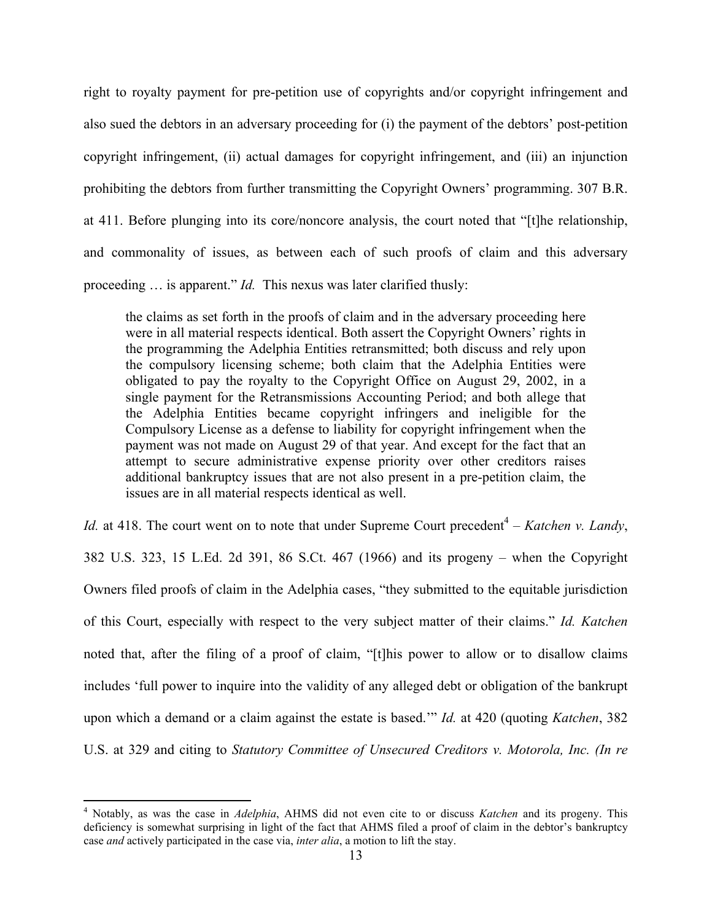right to royalty payment for pre-petition use of copyrights and/or copyright infringement and also sued the debtors in an adversary proceeding for (i) the payment of the debtors' post-petition copyright infringement, (ii) actual damages for copyright infringement, and (iii) an injunction prohibiting the debtors from further transmitting the Copyright Owners' programming. 307 B.R. at 411. Before plunging into its core/noncore analysis, the court noted that "[t]he relationship, and commonality of issues, as between each of such proofs of claim and this adversary proceeding … is apparent." *Id.* This nexus was later clarified thusly:

the claims as set forth in the proofs of claim and in the adversary proceeding here were in all material respects identical. Both assert the Copyright Owners' rights in the programming the Adelphia Entities retransmitted; both discuss and rely upon the compulsory licensing scheme; both claim that the Adelphia Entities were obligated to pay the royalty to the Copyright Office on August 29, 2002, in a single payment for the Retransmissions Accounting Period; and both allege that the Adelphia Entities became copyright infringers and ineligible for the Compulsory License as a defense to liability for copyright infringement when the payment was not made on August 29 of that year. And except for the fact that an attempt to secure administrative expense priority over other creditors raises additional bankruptcy issues that are not also present in a pre-petition claim, the issues are in all material respects identical as well.

*Id.* at 418. The court went on to note that under Supreme Court precedent<sup>4</sup> – *Katchen v. Landy*, 382 U.S. 323, 15 L.Ed. 2d 391, 86 S.Ct. 467 (1966) and its progeny – when the Copyright Owners filed proofs of claim in the Adelphia cases, "they submitted to the equitable jurisdiction of this Court, especially with respect to the very subject matter of their claims." *Id. Katchen* noted that, after the filing of a proof of claim, "[t]his power to allow or to disallow claims includes 'full power to inquire into the validity of any alleged debt or obligation of the bankrupt upon which a demand or a claim against the estate is based.'" *Id.* at 420 (quoting *Katchen*, 382 U.S. at 329 and citing to *Statutory Committee of Unsecured Creditors v. Motorola, Inc. (In re* 

 $\frac{1}{4}$  Notably, as was the case in *Adelphia*, AHMS did not even cite to or discuss *Katchen* and its progeny. This deficiency is somewhat surprising in light of the fact that AHMS filed a proof of claim in the debtor's bankruptcy case *and* actively participated in the case via, *inter alia*, a motion to lift the stay.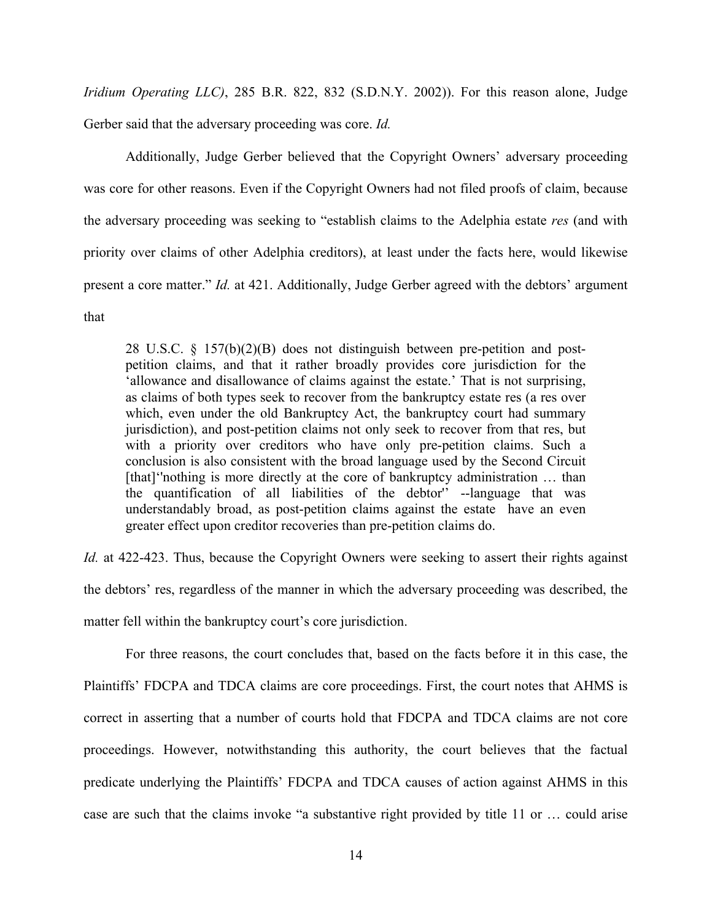*Iridium Operating LLC)*, 285 B.R. 822, 832 (S.D.N.Y. 2002)). For this reason alone, Judge Gerber said that the adversary proceeding was core. *Id.*

Additionally, Judge Gerber believed that the Copyright Owners' adversary proceeding was core for other reasons. Even if the Copyright Owners had not filed proofs of claim, because the adversary proceeding was seeking to "establish claims to the Adelphia estate *res* (and with priority over claims of other Adelphia creditors), at least under the facts here, would likewise present a core matter." *Id.* at 421. Additionally, Judge Gerber agreed with the debtors' argument that

28 U.S.C. § 157(b)(2)(B) does not distinguish between pre-petition and postpetition claims, and that it rather broadly provides core jurisdiction for the 'allowance and disallowance of claims against the estate.' That is not surprising, as claims of both types seek to recover from the bankruptcy estate res (a res over which, even under the old Bankruptcy Act, the bankruptcy court had summary jurisdiction), and post-petition claims not only seek to recover from that res, but with a priority over creditors who have only pre-petition claims. Such a conclusion is also consistent with the broad language used by the Second Circuit [that]'nothing is more directly at the core of bankruptcy administration ... than the quantification of all liabilities of the debtor'' --language that was understandably broad, as post-petition claims against the estate have an even greater effect upon creditor recoveries than pre-petition claims do.

*Id.* at 422-423. Thus, because the Copyright Owners were seeking to assert their rights against the debtors' res, regardless of the manner in which the adversary proceeding was described, the matter fell within the bankruptcy court's core jurisdiction.

For three reasons, the court concludes that, based on the facts before it in this case, the Plaintiffs' FDCPA and TDCA claims are core proceedings. First, the court notes that AHMS is correct in asserting that a number of courts hold that FDCPA and TDCA claims are not core proceedings. However, notwithstanding this authority, the court believes that the factual predicate underlying the Plaintiffs' FDCPA and TDCA causes of action against AHMS in this case are such that the claims invoke "a substantive right provided by title 11 or … could arise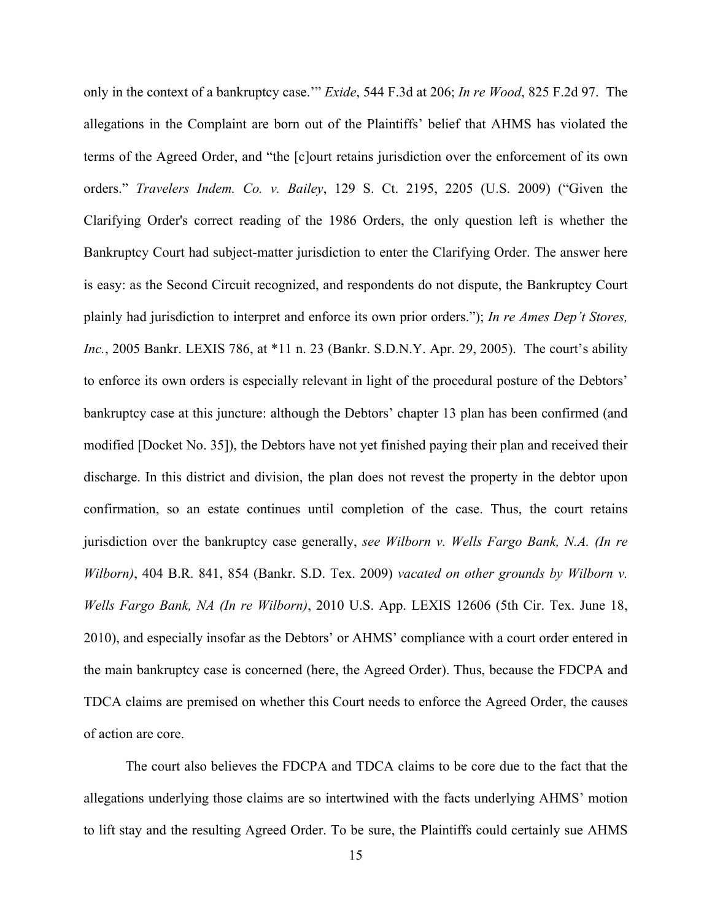only in the context of a bankruptcy case.'" *Exide*, 544 F.3d at 206; *In re Wood*, 825 F.2d 97. The allegations in the Complaint are born out of the Plaintiffs' belief that AHMS has violated the terms of the Agreed Order, and "the [c]ourt retains jurisdiction over the enforcement of its own orders." *Travelers Indem. Co. v. Bailey*, 129 S. Ct. 2195, 2205 (U.S. 2009) ("Given the Clarifying Order's correct reading of the 1986 Orders, the only question left is whether the Bankruptcy Court had subject-matter jurisdiction to enter the Clarifying Order. The answer here is easy: as the Second Circuit recognized, and respondents do not dispute, the Bankruptcy Court plainly had jurisdiction to interpret and enforce its own prior orders."); *In re Ames Dep't Stores, Inc.*, 2005 Bankr. LEXIS 786, at \*11 n. 23 (Bankr. S.D.N.Y. Apr. 29, 2005). The court's ability to enforce its own orders is especially relevant in light of the procedural posture of the Debtors' bankruptcy case at this juncture: although the Debtors' chapter 13 plan has been confirmed (and modified [Docket No. 35]), the Debtors have not yet finished paying their plan and received their discharge. In this district and division, the plan does not revest the property in the debtor upon confirmation, so an estate continues until completion of the case. Thus, the court retains jurisdiction over the bankruptcy case generally, *see Wilborn v. Wells Fargo Bank, N.A. (In re Wilborn)*, 404 B.R. 841, 854 (Bankr. S.D. Tex. 2009) *vacated on other grounds by Wilborn v. Wells Fargo Bank, NA (In re Wilborn)*, 2010 U.S. App. LEXIS 12606 (5th Cir. Tex. June 18, 2010), and especially insofar as the Debtors' or AHMS' compliance with a court order entered in the main bankruptcy case is concerned (here, the Agreed Order). Thus, because the FDCPA and TDCA claims are premised on whether this Court needs to enforce the Agreed Order, the causes of action are core.

The court also believes the FDCPA and TDCA claims to be core due to the fact that the allegations underlying those claims are so intertwined with the facts underlying AHMS' motion to lift stay and the resulting Agreed Order. To be sure, the Plaintiffs could certainly sue AHMS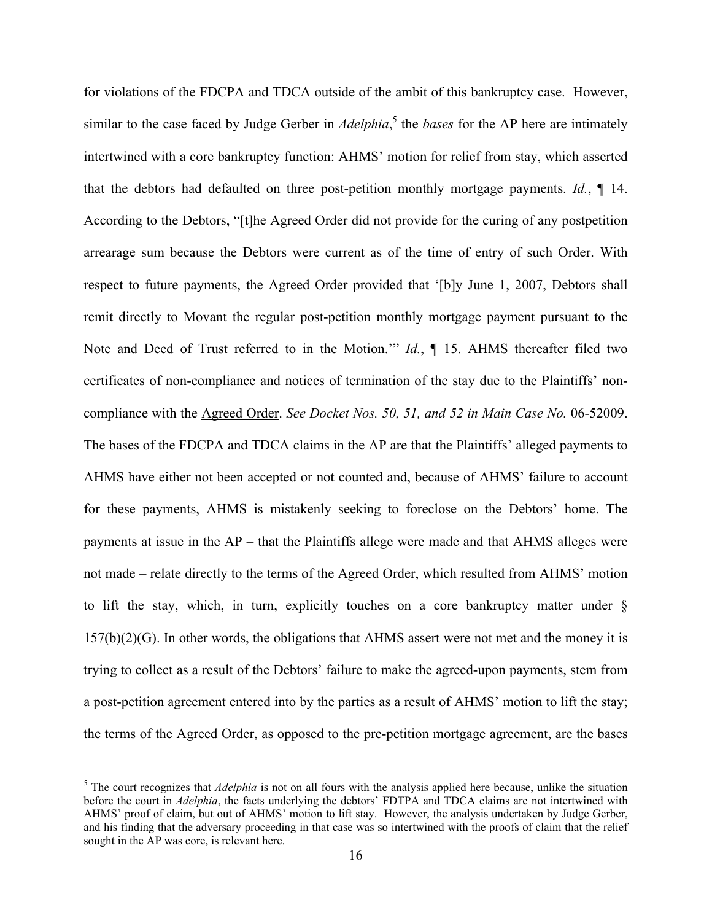for violations of the FDCPA and TDCA outside of the ambit of this bankruptcy case. However, similar to the case faced by Judge Gerber in *Adelphia*, <sup>5</sup> the *bases* for the AP here are intimately intertwined with a core bankruptcy function: AHMS' motion for relief from stay, which asserted that the debtors had defaulted on three post-petition monthly mortgage payments. *Id.*, ¶ 14. According to the Debtors, "[t]he Agreed Order did not provide for the curing of any postpetition arrearage sum because the Debtors were current as of the time of entry of such Order. With respect to future payments, the Agreed Order provided that '[b]y June 1, 2007, Debtors shall remit directly to Movant the regular post-petition monthly mortgage payment pursuant to the Note and Deed of Trust referred to in the Motion.'" *Id.*, ¶ 15. AHMS thereafter filed two certificates of non-compliance and notices of termination of the stay due to the Plaintiffs' noncompliance with the Agreed Order. *See Docket Nos. 50, 51, and 52 in Main Case No.* 06-52009. The bases of the FDCPA and TDCA claims in the AP are that the Plaintiffs' alleged payments to AHMS have either not been accepted or not counted and, because of AHMS' failure to account for these payments, AHMS is mistakenly seeking to foreclose on the Debtors' home. The payments at issue in the AP – that the Plaintiffs allege were made and that AHMS alleges were not made – relate directly to the terms of the Agreed Order, which resulted from AHMS' motion to lift the stay, which, in turn, explicitly touches on a core bankruptcy matter under § 157(b)(2)(G). In other words, the obligations that AHMS assert were not met and the money it is trying to collect as a result of the Debtors' failure to make the agreed-upon payments, stem from a post-petition agreement entered into by the parties as a result of AHMS' motion to lift the stay; the terms of the Agreed Order, as opposed to the pre-petition mortgage agreement, are the bases

5 <sup>5</sup> The court recognizes that *Adelphia* is not on all fours with the analysis applied here because, unlike the situation before the court in *Adelphia*, the facts underlying the debtors' FDTPA and TDCA claims are not intertwined with AHMS' proof of claim, but out of AHMS' motion to lift stay. However, the analysis undertaken by Judge Gerber, and his finding that the adversary proceeding in that case was so intertwined with the proofs of claim that the relief sought in the AP was core, is relevant here.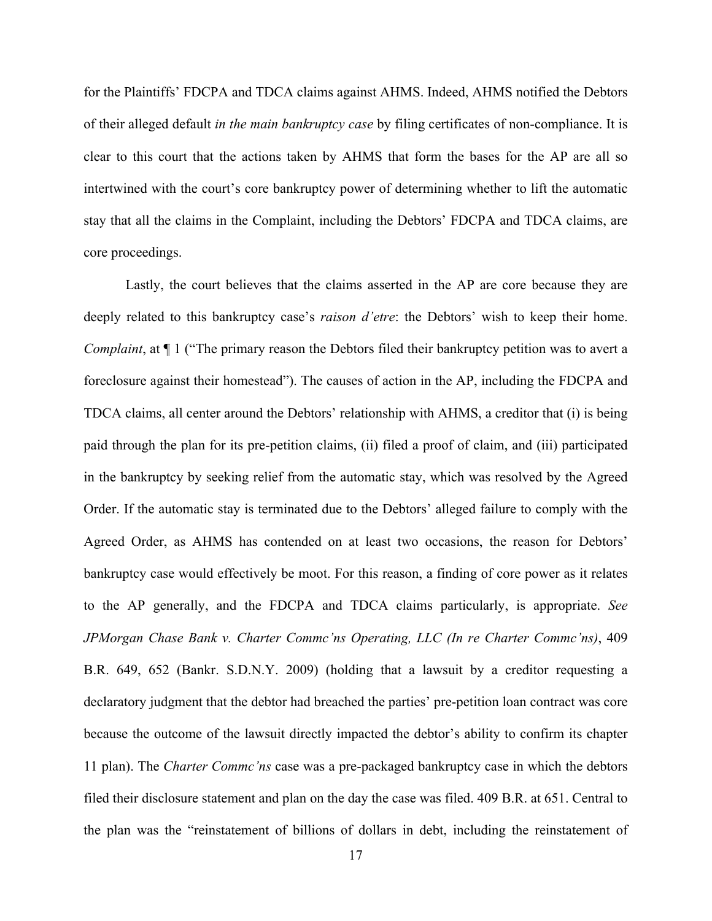for the Plaintiffs' FDCPA and TDCA claims against AHMS. Indeed, AHMS notified the Debtors of their alleged default *in the main bankruptcy case* by filing certificates of non-compliance. It is clear to this court that the actions taken by AHMS that form the bases for the AP are all so intertwined with the court's core bankruptcy power of determining whether to lift the automatic stay that all the claims in the Complaint, including the Debtors' FDCPA and TDCA claims, are core proceedings.

Lastly, the court believes that the claims asserted in the AP are core because they are deeply related to this bankruptcy case's *raison d'etre*: the Debtors' wish to keep their home. *Complaint*, at  $\P$  1 ("The primary reason the Debtors filed their bankruptcy petition was to avert a foreclosure against their homestead"). The causes of action in the AP, including the FDCPA and TDCA claims, all center around the Debtors' relationship with AHMS, a creditor that (i) is being paid through the plan for its pre-petition claims, (ii) filed a proof of claim, and (iii) participated in the bankruptcy by seeking relief from the automatic stay, which was resolved by the Agreed Order. If the automatic stay is terminated due to the Debtors' alleged failure to comply with the Agreed Order, as AHMS has contended on at least two occasions, the reason for Debtors' bankruptcy case would effectively be moot. For this reason, a finding of core power as it relates to the AP generally, and the FDCPA and TDCA claims particularly, is appropriate. *See JPMorgan Chase Bank v. Charter Commc'ns Operating, LLC (In re Charter Commc'ns)*, 409 B.R. 649, 652 (Bankr. S.D.N.Y. 2009) (holding that a lawsuit by a creditor requesting a declaratory judgment that the debtor had breached the parties' pre-petition loan contract was core because the outcome of the lawsuit directly impacted the debtor's ability to confirm its chapter 11 plan). The *Charter Commc'ns* case was a pre-packaged bankruptcy case in which the debtors filed their disclosure statement and plan on the day the case was filed. 409 B.R. at 651. Central to the plan was the "reinstatement of billions of dollars in debt, including the reinstatement of